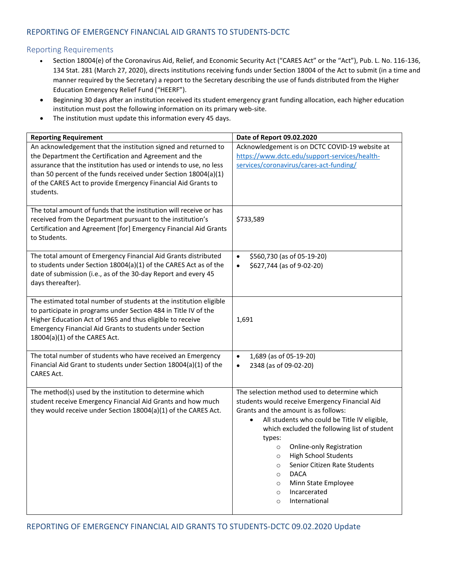## REPORTING OF EMERGENCY FINANCIAL AID GRANTS TO STUDENTS-DCTC

## Reporting Requirements

- Section 18004(e) of the Coronavirus Aid, Relief, and Economic Security Act ("CARES Act" or the "Act"), Pub. L. No. 116-136, 134 Stat. 281 (March 27, 2020), directs institutions receiving funds under Section 18004 of the Act to submit (in a time and manner required by the Secretary) a report to the Secretary describing the use of funds distributed from the Higher Education Emergency Relief Fund ("HEERF").
- Beginning 30 days after an institution received its student emergency grant funding allocation, each higher education institution must post the following information on its primary web-site.
- The institution must update this information every 45 days.

| <b>Reporting Requirement</b>                                                                                                                                                                                                                                                                                                                    | Date of Report 09.02.2020                                                                                                                                                                                                                                                                                                                                                                                                                                                                              |
|-------------------------------------------------------------------------------------------------------------------------------------------------------------------------------------------------------------------------------------------------------------------------------------------------------------------------------------------------|--------------------------------------------------------------------------------------------------------------------------------------------------------------------------------------------------------------------------------------------------------------------------------------------------------------------------------------------------------------------------------------------------------------------------------------------------------------------------------------------------------|
| An acknowledgement that the institution signed and returned to<br>the Department the Certification and Agreement and the<br>assurance that the institution has used or intends to use, no less<br>than 50 percent of the funds received under Section 18004(a)(1)<br>of the CARES Act to provide Emergency Financial Aid Grants to<br>students. | Acknowledgement is on DCTC COVID-19 website at<br>https://www.dctc.edu/support-services/health-<br>services/coronavirus/cares-act-funding/                                                                                                                                                                                                                                                                                                                                                             |
| The total amount of funds that the institution will receive or has<br>received from the Department pursuant to the institution's<br>Certification and Agreement [for] Emergency Financial Aid Grants<br>to Students.                                                                                                                            | \$733,589                                                                                                                                                                                                                                                                                                                                                                                                                                                                                              |
| The total amount of Emergency Financial Aid Grants distributed<br>to students under Section 18004(a)(1) of the CARES Act as of the<br>date of submission (i.e., as of the 30-day Report and every 45<br>days thereafter).                                                                                                                       | \$560,730 (as of 05-19-20)<br>$\bullet$<br>\$627,744 (as of 9-02-20)<br>$\bullet$                                                                                                                                                                                                                                                                                                                                                                                                                      |
| The estimated total number of students at the institution eligible<br>to participate in programs under Section 484 in Title IV of the<br>Higher Education Act of 1965 and thus eligible to receive<br>Emergency Financial Aid Grants to students under Section<br>18004(a)(1) of the CARES Act.                                                 | 1,691                                                                                                                                                                                                                                                                                                                                                                                                                                                                                                  |
| The total number of students who have received an Emergency<br>Financial Aid Grant to students under Section 18004(a)(1) of the<br><b>CARES Act.</b>                                                                                                                                                                                            | 1,689 (as of 05-19-20)<br>$\bullet$<br>2348 (as of 09-02-20)<br>$\bullet$                                                                                                                                                                                                                                                                                                                                                                                                                              |
| The method(s) used by the institution to determine which<br>student receive Emergency Financial Aid Grants and how much<br>they would receive under Section 18004(a)(1) of the CARES Act.                                                                                                                                                       | The selection method used to determine which<br>students would receive Emergency Financial Aid<br>Grants and the amount is as follows:<br>All students who could be Title IV eligible,<br>which excluded the following list of student<br>types:<br><b>Online-only Registration</b><br>$\circ$<br><b>High School Students</b><br>$\circ$<br>Senior Citizen Rate Students<br>$\circ$<br><b>DACA</b><br>$\circ$<br>Minn State Employee<br>$\circ$<br>Incarcerated<br>$\circ$<br>International<br>$\circ$ |

REPORTING OF EMERGENCY FINANCIAL AID GRANTS TO STUDENTS-DCTC 09.02.2020 Update